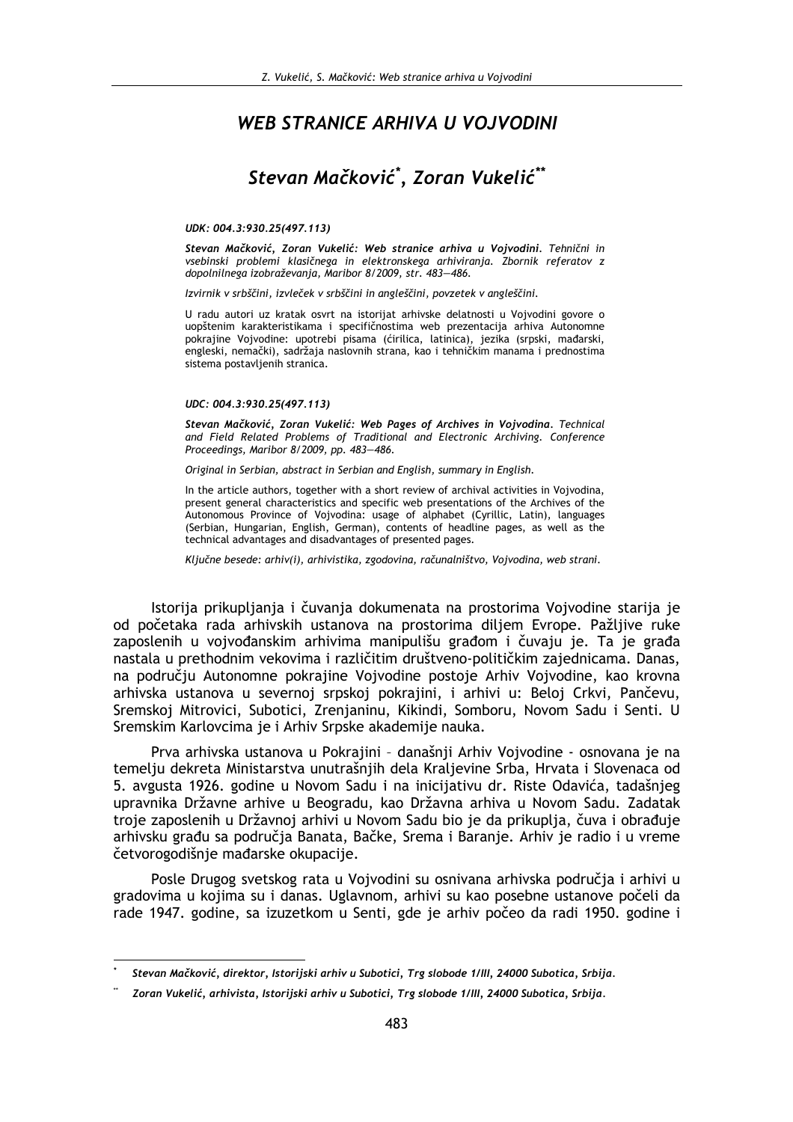## **WEB STRANICE ARHIVA U VOJVODINI**

# Stevan Mačković\*, Zoran Vukelić\*\*

#### UDK: 004.3:930.25(497.113)

Stevan Mačković, Zoran Vukelić: Web stranice arhiva u Vojvodini. Tehnični in vsebinski problemi klasičnega in elektronskega arhiviranja. Zbornik referatov z dopolnilnega izobraževanja, Maribor 8/2009, str. 483-486.

Izvirnik v srbščini, izvleček v srbščini in angleščini, povzetek v angleščini.

U radu autori uz kratak osvrt na istorijat arhivske delatnosti u Vojvodini govore o uopštenim karakteristikama i specifičnostima web prezentacija arhiva Autonomne pokrajine Vojvodine: upotrebi pisama (ćirilica, latinica), jezika (srpski, mađarski, engleski, nemački), sadržaja naslovnih strana, kao i tehničkim manama i prednostima sistema postavljenih stranica.

#### UDC: 004.3:930.25(497.113)

Stevan Mačković, Zoran Vukelić: Web Pages of Archives in Vojvodina. Technical and Field Related Problems of Traditional and Electronic Archiving. Conference Proceedings, Maribor 8/2009, pp. 483-486.

Original in Serbian, abstract in Serbian and English, summary in English.

In the article authors, together with a short review of archival activities in Voivodina. present general characteristics and specific web presentations of the Archives of the Autonomous Province of Vojvodina: usage of alphabet (Cyrillic, Latin), languages (Serbian, Hungarian, English, German), contents of headline pages, as well as the technical advantages and disadvantages of presented pages.

Ključne besede: arhiv(i), arhivistika, zgodovina, računalništvo, Vojvodina, web strani.

Istorija prikuplianja i čuvanja dokumenata na prostorima Vojvodine starija je od početaka rada arhivskih ustanova na prostorima diliem Evrope. Pažlijve ruke zaposlenih u vojvođanskim arhivima manipulišu građom i čuvaju je. Ta je građa nastala u prethodnim vekovima i različitim društveno-političkim zajednicama. Danas, na području Autonomne pokrajine Vojvodine postoje Arhiv Vojvodine, kao krovna arhivska ustanova u severnoj srpskoj pokrajini, i arhivi u: Beloj Crkvi, Pančevu, Sremskoj Mitrovici, Subotici, Zrenjaninu, Kikindi, Somboru, Novom Sadu i Senti. U Sremskim Karlovcima je i Arhiv Srpske akademije nauka.

Prva arhivska ustanova u Pokrajini - današnji Arhiv Vojvodine - osnovana je na temelju dekreta Ministarstva unutrašnjih dela Kraljevine Srba, Hrvata i Slovenaca od 5. avgusta 1926. godine u Novom Sadu i na inicijativu dr. Riste Odavića, tadašnjeg upravnika Državne arhive u Beogradu, kao Državna arhiva u Novom Sadu. Zadatak troje zaposlenih u Državnoj arhivi u Novom Sadu bio je da prikuplja, čuva i obrađuje arhivsku građu sa područja Banata, Bačke, Srema i Baranje. Arhiv je radio i u vreme četvorogodišnje mađarske okupacije.

Posle Drugog svetskog rata u Vojvodini su osnivana arhivska područja i arhivi u gradovima u kojima su i danas. Uglavnom, arhivi su kao posebne ustanove počeli da rade 1947. godine, sa izuzetkom u Senti, gde je arhiv počeo da radi 1950. godine i

Stevan Mačković, direktor, Istorijski arhiv u Subotici, Trg slobode 1/III, 24000 Subotica, Srbija.

Zoran Vukelić, arhivista, Istorijski arhiv u Subotici, Trg slobode 1/III, 24000 Subotica, Srbija.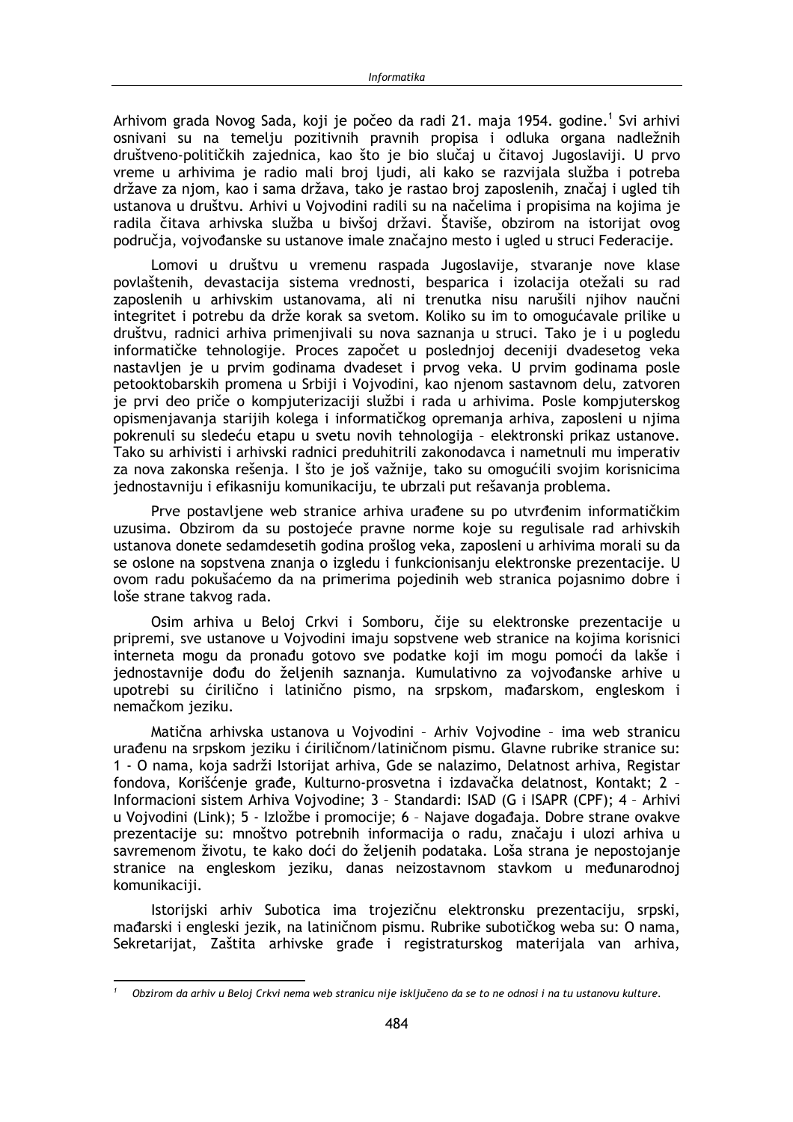Arhivom grada Novog Sada, koji je počeo da radi 21. maja 1954. godine.<sup>1</sup> Svi arhivi osnivani su na temelju pozitivnih pravnih propisa i odluka organa nadležnih društveno-političkih zajednica, kao što je bio slučaj u čitavoj Jugoslaviji. U prvo vreme u arhivima je radio mali broj ljudi, ali kako se razvijala služba i potreba države za njom, kao i sama država, tako je rastao broj zaposlenih, značaj i ugled tih ustanova u društvu. Arhivi u Vojvodini radili su na načelima i propisima na kojima je radila čitava arhivska služba u bivšoj državi. Štaviše, obzirom na istorijat ovog područja, vojvođanske su ustanove imale značajno mesto i ugled u struci Federacije.

Lomovi u društvu u vremenu raspada Jugoslavije, stvaranje nove klase povlaštenih, devastacija sistema vrednosti, besparica i izolacija otežali su rad zaposlenih u arhivskim ustanovama, ali ni trenutka nisu narušili njihov naučni integritet i potrebu da drže korak sa svetom. Koliko su im to omogućavale prilike u društvu, radnici arhiva primenjivali su nova saznanja u struci. Tako je i u pogledu informatičke tehnologije. Proces započet u poslednjoj deceniji dvadesetog veka nastavljen je u prvim godinama dvadeset i prvog veka. U prvim godinama posle petooktobarskih promena u Srbiji i Vojvodini, kao njenom sastavnom delu, zatvoren je prvi deo priče o kompjuterizaciji službi i rada u arhivima. Posle kompjuterskog opismenjavanja starijih kolega i informatičkog opremanja arhiva, zaposleni u njima pokrenuli su sledeću etapu u svetu novih tehnologija - elektronski prikaz ustanove. Tako su arhivisti i arhivski radnici preduhitrili zakonodavca i nametnuli mu imperativ za nova zakonska rešenja. I što je još važnije, tako su omogućili svojim korisnicima jednostavniju i efikasniju komunikaciju, te ubrzali put rešavanja problema.

Prve postavljene web stranice arhiva urađene su po utvrđenim informatičkim uzusima. Obzirom da su postojeće pravne norme koje su regulisale rad arhivskih ustanova donete sedamdesetih godina prošlog veka, zaposleni u arhivima morali su da se oslone na sopstvena znania o izgledu i funkcionisaniu elektronske prezentacije. U ovom radu pokušaćemo da na primerima pojedinih web stranica pojasnimo dobre i loše strane takvog rada.

Osim arhiva u Beloj Crkvi i Somboru, čije su elektronske prezentacije u pripremi, sve ustanove u Vojvodini imaju sopstvene web stranice na kojima korisnici interneta mogu da pronađu gotovo sve podatke koji im mogu pomoći da lakše i jednostavnije dođu do željenih saznanja. Kumulativno za vojvođanske arhive u upotrebi su ćirilično i latinično pismo, na srpskom, mađarskom, engleskom i nemačkom jeziku.

Matična arhivska ustanova u Vojvodini - Arhiv Vojvodine - ima web stranicu urađenu na srpskom jeziku i ćiriličnom/latiničnom pismu. Glavne rubrike stranice su: 1 - O nama, koja sadrži Istorijat arhiva, Gde se nalazimo, Delatnost arhiva, Registar fondova, Korišćenje građe, Kulturno-prosvetna i izdavačka delatnost, Kontakt; 2 -Informacioni sistem Arhiva Vojvodine; 3 - Standardi: ISAD (G i ISAPR (CPF); 4 - Arhivi u Vojvodini (Link); 5 - Izložbe i promocije; 6 - Najave događaja. Dobre strane ovakve prezentacije su: mnoštvo potrebnih informacija o radu, značaju i ulozi arhiva u savremenom životu, te kako doći do željenih podataka. Loša strana je nepostojanje stranice na engleskom jeziku, danas neizostavnom stavkom u međunarodnoj komunikaciji.

Istorijski arhiv Subotica ima trojezičnu elektronsku prezentaciju, srpski, mađarski i engleski jezik, na latiničnom pismu. Rubrike subotičkog weba su: O nama, Sekretarijat, Zaštita arhivske građe i registraturskog materijala van arhiva,

<sup>&</sup>lt;sup>1</sup> Obzirom da arhiv u Beloj Crkvi nema web stranicu nije isključeno da se to ne odnosi i na tu ustanovu kulture.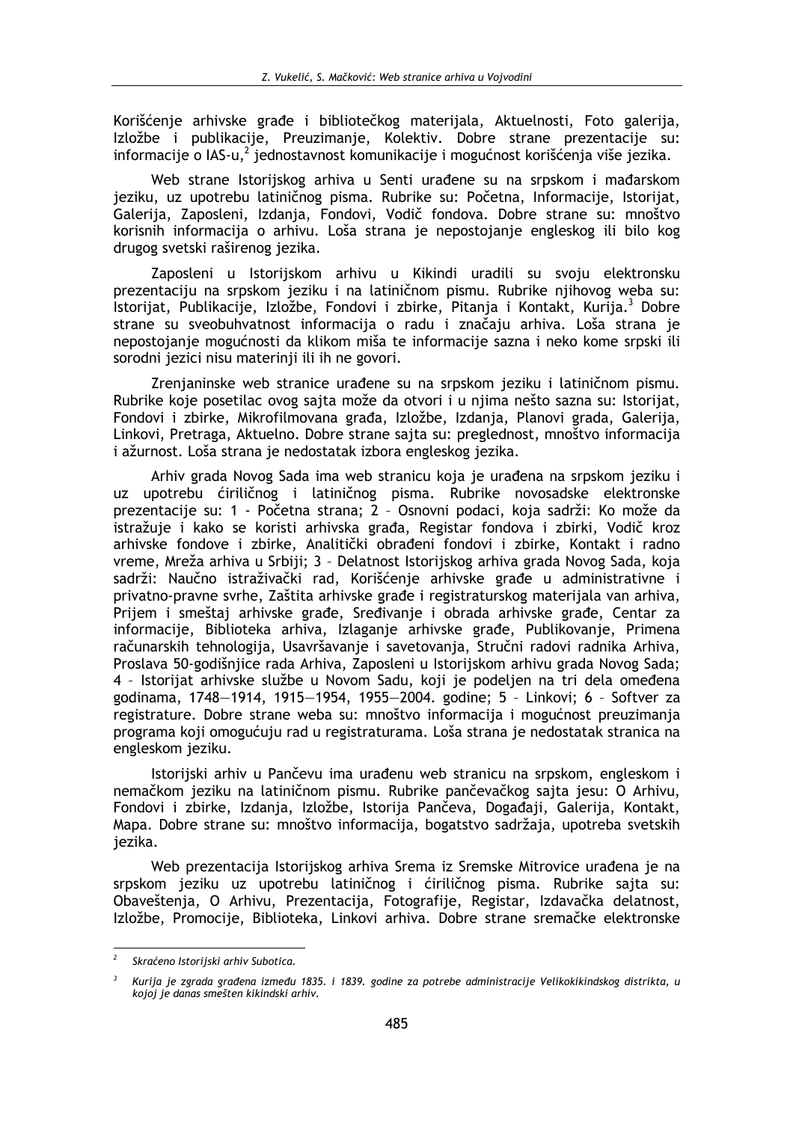Korišćenje arhivske građe i bibliotečkog materijala, Aktuelnosti, Foto galerija, Izložbe i publikacije, Preuzimanje, Kolektiv. Dobre strane prezentacije su: informacije o IAS-u,<sup>2</sup> jednostavnost komunikacije i mogućnost korišćenja više jezika.

Web strane Istorijskog arhiva u Senti urađene su na srpskom i mađarskom jeziku, uz upotrebu latiničnog pisma. Rubrike su: Početna, Informacije, Istorijat, Galerija, Zaposleni, Izdanja, Fondovi, Vodič fondova. Dobre strane su: mnoštvo korisnih informacija o arhivu. Loša strana je nepostojanje engleskog ili bilo kog drugog svetski raširenog jezika.

Zaposleni u Istorijskom arhivu u Kikindi uradili su svoju elektronsku prezentaciju na srpskom jeziku i na latiničnom pismu. Rubrike njihovog weba su: Istorijat, Publikacije, Izložbe, Fondovi i zbirke, Pitanja i Kontakt, Kurija.<sup>3</sup> Dobre strane su sveobuhvatnost informacija o radu i značaju arhiva. Loša strana je nepostojanje mogućnosti da klikom miša te informacije sazna i neko kome srpski ili sorodni jezici nisu materinji ili ih ne govori.

Zrenjaninske web stranice urađene su na srpskom jeziku i latiničnom pismu. Rubrike koje posetilac ovog sajta može da otvori i u njima nešto sazna su: Istorijat, Fondovi i zbirke, Mikrofilmovana građa, Izložbe, Izdanja, Planovi grada, Galerija, Linkovi, Pretraga, Aktuelno. Dobre strane sajta su: preglednost, mnoštvo informacija i ažurnost. Loša strana je nedostatak izbora engleskog jezika.

Arhiv grada Novog Sada ima web stranicu koja je urađena na srpskom jeziku i upotrebu ćiriličnog i latiničnog pisma. Rubrike novosadske elektronske  $117$ prezentacije su: 1 - Početna strana; 2 - Osnovni podaci, koja sadrži: Ko može da istražuje i kako se koristi arhivska građa, Registar fondova i zbirki, Vodič kroz arhivske fondove i zbirke, Analitički obrađeni fondovi i zbirke, Kontakt i radno vreme, Mreža arhiva u Srbiji; 3 - Delatnost Istorijskog arhiva grada Novog Sada, koja sadrži: Naučno istraživački rad, Korišćenie arhivske građe u administrativne i privatno-pravne svrhe. Zaštita arhivske građe i registraturskog materijala van arhiva. Prijem i smeštaj arhivske građe. Sređivanje i obrada arhivske građe. Centar za informacije, Biblioteka arhiva, Izlaganje arhivske građe, Publikovanje, Primena računarskih tehnologija, Usavršavanje i savetovanja, Stručni radovi radnika Arhiva, Proslava 50-godišnjice rada Arhiva, Zaposleni u Istorijskom arhivu grada Novog Sada; 4 - Istorijat arhivske službe u Novom Sadu, koji je podeljen na tri dela omeđena godinama, 1748-1914, 1915-1954, 1955-2004. godine; 5 - Linkovi; 6 - Softver za registrature. Dobre strane weba su: mnoštvo informacija i mogućnost preuzimanja programa koji omogućuju rad u registraturama. Loša strana je nedostatak stranica na engleskom jeziku.

Istorijski arhiv u Pančevu ima urađenu web stranicu na srpskom, engleskom i nemačkom jeziku na latiničnom pismu. Rubrike pančevačkog sajta jesu: O Arhivu, Fondovi i zbirke, Izdanja, Izložbe, Istorija Pančeva, Događaji, Galerija, Kontakt, Mapa. Dobre strane su: mnoštvo informacija, bogatstvo sadržaja, upotreba svetskih iezika.

Web prezentacija Istorijskog arhiva Srema iz Sremske Mitrovice urađena je na srpskom jeziku uz upotrebu latiničnog i ćiriličnog pisma. Rubrike sajta su: Obaveštenja, O Arhivu, Prezentacija, Fotografije, Registar, Izdavačka delatnost, Izložbe, Promocije, Biblioteka, Linkovi arhiva. Dobre strane sremačke elektronske

Skraćeno Istorijski arhiv Subotica.

 $\overline{3}$ Kurija je zgrada građena između 1835. i 1839. godine za potrebe administracije Velikokikindskog distrikta, u kojoj je danas smešten kikindski arhiv.